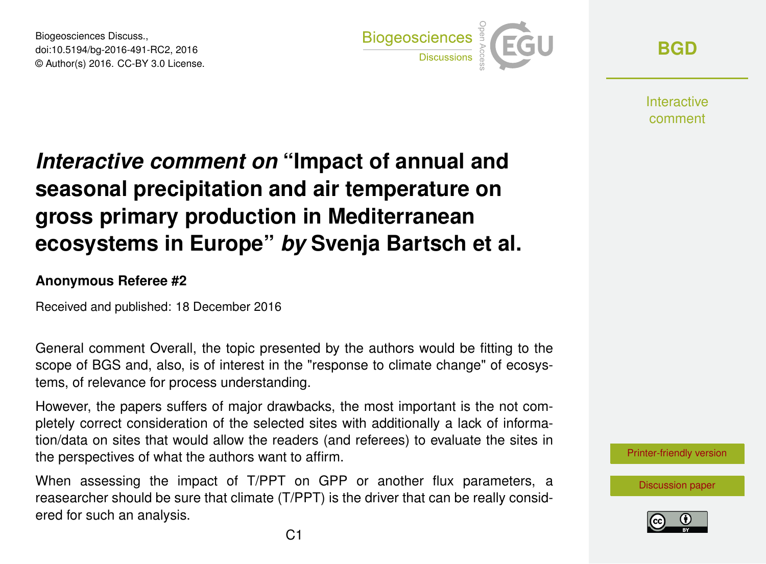Biogeosciences Discuss., doi:10.5194/bg-2016-491-RC2, 2016 © Author(s) 2016. CC-BY 3.0 License.



**[BGD](http://www.biogeosciences-discuss.net/)**

**Interactive** comment

## *Interactive comment on* **"Impact of annual and seasonal precipitation and air temperature on gross primary production in Mediterranean ecosystems in Europe"** *by* **Svenja Bartsch et al.**

## **Anonymous Referee #2**

Received and published: 18 December 2016

General comment Overall, the topic presented by the authors would be fitting to the scope of BGS and, also, is of interest in the "response to climate change" of ecosystems, of relevance for process understanding.

However, the papers suffers of major drawbacks, the most important is the not completely correct consideration of the selected sites with additionally a lack of information/data on sites that would allow the readers (and referees) to evaluate the sites in the perspectives of what the authors want to affirm.

When assessing the impact of T/PPT on GPP or another flux parameters, a reasearcher should be sure that climate (T/PPT) is the driver that can be really considered for such an analysis.

[Printer-friendly version](http://www.biogeosciences-discuss.net/bg-2016-491/bg-2016-491-RC2-print.pdf)

[Discussion paper](http://www.biogeosciences-discuss.net/bg-2016-491)